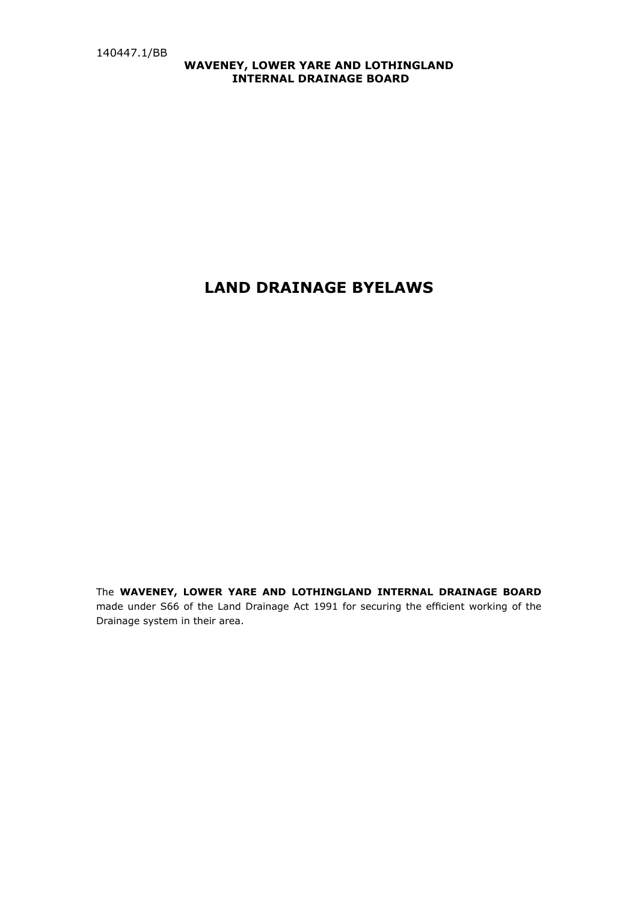# **WAVENEY, LOWER YARE AND LOTHINGLAND INTERNAL DRAINAGE BOARD**

# **LAND DRAINAGE BYELAWS**

The **WAVENEY, LOWER YARE AND LOTHINGLAND INTERNAL DRAINAGE BOARD**  made under S66 of the Land Drainage Act 1991 for securing the efficient working of the Drainage system in their area.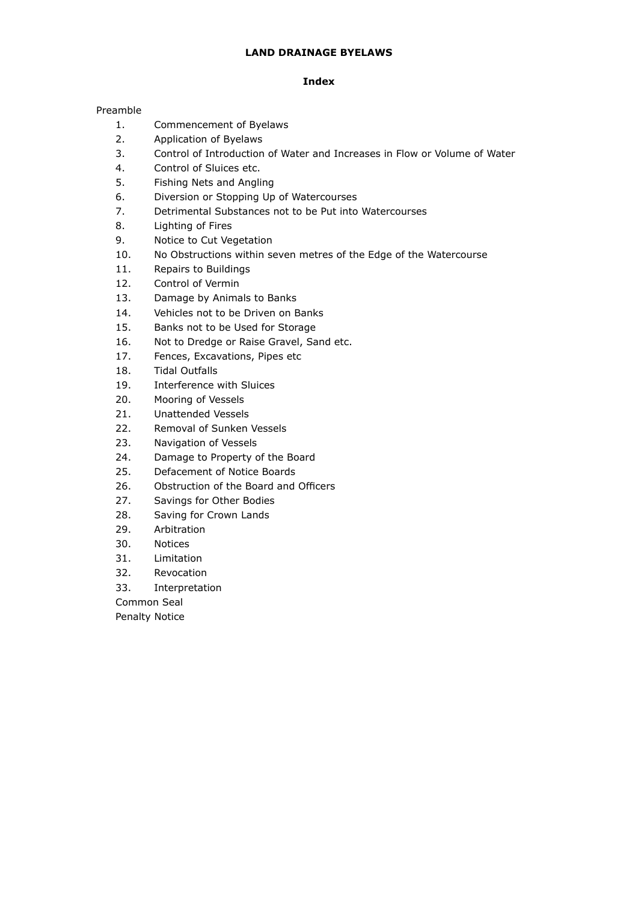# **LAND DRAINAGE BYELAWS**

# **Index**

# Preamble

- 1. Commencement of Byelaws
- 2. Application of Byelaws
- 3. Control of Introduction of Water and Increases in Flow or Volume of Water
- 4. Control of Sluices etc.
- 5. Fishing Nets and Angling
- 6. Diversion or Stopping Up of Watercourses
- 7. Detrimental Substances not to be Put into Watercourses
- 8. Lighting of Fires
- 9. Notice to Cut Vegetation
- 10. No Obstructions within seven metres of the Edge of the Watercourse
- 11. Repairs to Buildings
- 12. Control of Vermin
- 13. Damage by Animals to Banks
- 14. Vehicles not to be Driven on Banks
- 15. Banks not to be Used for Storage
- 16. Not to Dredge or Raise Gravel, Sand etc.
- 17. Fences, Excavations, Pipes etc
- 18. Tidal Outfalls
- 19. Interference with Sluices
- 20. Mooring of Vessels
- 21. Unattended Vessels
- 22. Removal of Sunken Vessels
- 23. Navigation of Vessels
- 24. Damage to Property of the Board
- 25. Defacement of Notice Boards
- 26. Obstruction of the Board and Officers
- 27. Savings for Other Bodies
- 28. Saving for Crown Lands
- 29. Arbitration
- 30. Notices
- 31. Limitation
- 32. Revocation
- 33. Interpretation

Common Seal

Penalty Notice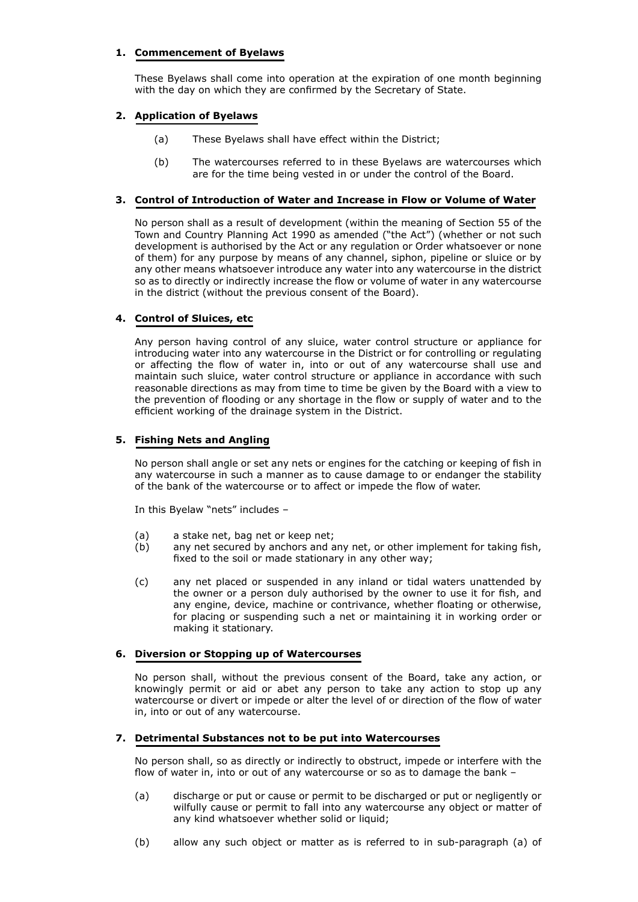# **1. Commencement of Byelaws**

These Byelaws shall come into operation at the expiration of one month beginning with the day on which they are confirmed by the Secretary of State.

# **2. Application of Byelaws**

- (a) These Byelaws shall have effect within the District;
- (b) The watercourses referred to in these Byelaws are watercourses which are for the time being vested in or under the control of the Board.

#### **3. Control of Introduction of Water and Increase in Flow or Volume of Water**

No person shall as a result of development (within the meaning of Section 55 of the Town and Country Planning Act 1990 as amended ("the Act") (whether or not such development is authorised by the Act or any regulation or Order whatsoever or none of them) for any purpose by means of any channel, siphon, pipeline or sluice or by any other means whatsoever introduce any water into any watercourse in the district so as to directly or indirectly increase the flow or volume of water in any watercourse in the district (without the previous consent of the Board).

## **4. Control of Sluices, etc**

Any person having control of any sluice, water control structure or appliance for introducing water into any watercourse in the District or for controlling or regulating or affecting the flow of water in, into or out of any watercourse shall use and maintain such sluice, water control structure or appliance in accordance with such reasonable directions as may from time to time be given by the Board with a view to the prevention of flooding or any shortage in the flow or supply of water and to the efficient working of the drainage system in the District.

## **5. Fishing Nets and Angling**

No person shall angle or set any nets or engines for the catching or keeping of fish in any watercourse in such a manner as to cause damage to or endanger the stability of the bank of the watercourse or to affect or impede the flow of water.

In this Byelaw "nets" includes –

- (a) a stake net, bag net or keep net;
- (b) any net secured by anchors and any net, or other implement for taking fish, fixed to the soil or made stationary in any other way;
- (c) any net placed or suspended in any inland or tidal waters unattended by the owner or a person duly authorised by the owner to use it for fish, and any engine, device, machine or contrivance, whether floating or otherwise, for placing or suspending such a net or maintaining it in working order or making it stationary.

## **6. Diversion or Stopping up of Watercourses**

No person shall, without the previous consent of the Board, take any action, or knowingly permit or aid or abet any person to take any action to stop up any watercourse or divert or impede or alter the level of or direction of the flow of water in, into or out of any watercourse.

## **7. Detrimental Substances not to be put into Watercourses**

No person shall, so as directly or indirectly to obstruct, impede or interfere with the flow of water in, into or out of any watercourse or so as to damage the bank –

- (a) discharge or put or cause or permit to be discharged or put or negligently or wilfully cause or permit to fall into any watercourse any object or matter of any kind whatsoever whether solid or liquid;
- (b) allow any such object or matter as is referred to in sub-paragraph (a) of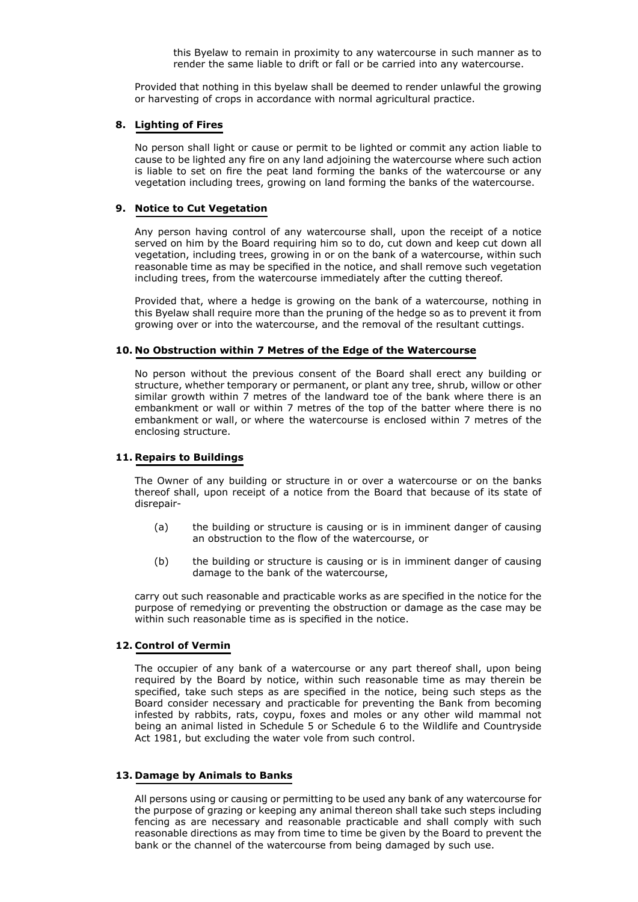this Byelaw to remain in proximity to any watercourse in such manner as to render the same liable to drift or fall or be carried into any watercourse.

Provided that nothing in this byelaw shall be deemed to render unlawful the growing or harvesting of crops in accordance with normal agricultural practice.

#### **8. Lighting of Fires**

No person shall light or cause or permit to be lighted or commit any action liable to cause to be lighted any fire on any land adjoining the watercourse where such action is liable to set on fire the peat land forming the banks of the watercourse or any vegetation including trees, growing on land forming the banks of the watercourse.

#### **9. Notice to Cut Vegetation**

Any person having control of any watercourse shall, upon the receipt of a notice served on him by the Board requiring him so to do, cut down and keep cut down all vegetation, including trees, growing in or on the bank of a watercourse, within such reasonable time as may be specified in the notice, and shall remove such vegetation including trees, from the watercourse immediately after the cutting thereof.

Provided that, where a hedge is growing on the bank of a watercourse, nothing in this Byelaw shall require more than the pruning of the hedge so as to prevent it from growing over or into the watercourse, and the removal of the resultant cuttings.

#### **10. No Obstruction within 7 Metres of the Edge of the Watercourse**

No person without the previous consent of the Board shall erect any building or structure, whether temporary or permanent, or plant any tree, shrub, willow or other similar growth within 7 metres of the landward toe of the bank where there is an embankment or wall or within 7 metres of the top of the batter where there is no embankment or wall, or where the watercourse is enclosed within 7 metres of the enclosing structure.

## **11. Repairs to Buildings**

The Owner of any building or structure in or over a watercourse or on the banks thereof shall, upon receipt of a notice from the Board that because of its state of disrepair-

- (a) the building or structure is causing or is in imminent danger of causing an obstruction to the flow of the watercourse, or
- (b) the building or structure is causing or is in imminent danger of causing damage to the bank of the watercourse,

carry out such reasonable and practicable works as are specified in the notice for the purpose of remedying or preventing the obstruction or damage as the case may be within such reasonable time as is specified in the notice.

## **12. Control of Vermin**

The occupier of any bank of a watercourse or any part thereof shall, upon being required by the Board by notice, within such reasonable time as may therein be specified, take such steps as are specified in the notice, being such steps as the Board consider necessary and practicable for preventing the Bank from becoming infested by rabbits, rats, coypu, foxes and moles or any other wild mammal not being an animal listed in Schedule 5 or Schedule 6 to the Wildlife and Countryside Act 1981, but excluding the water vole from such control.

## **13. Damage by Animals to Banks**

All persons using or causing or permitting to be used any bank of any watercourse for the purpose of grazing or keeping any animal thereon shall take such steps including fencing as are necessary and reasonable practicable and shall comply with such reasonable directions as may from time to time be given by the Board to prevent the bank or the channel of the watercourse from being damaged by such use.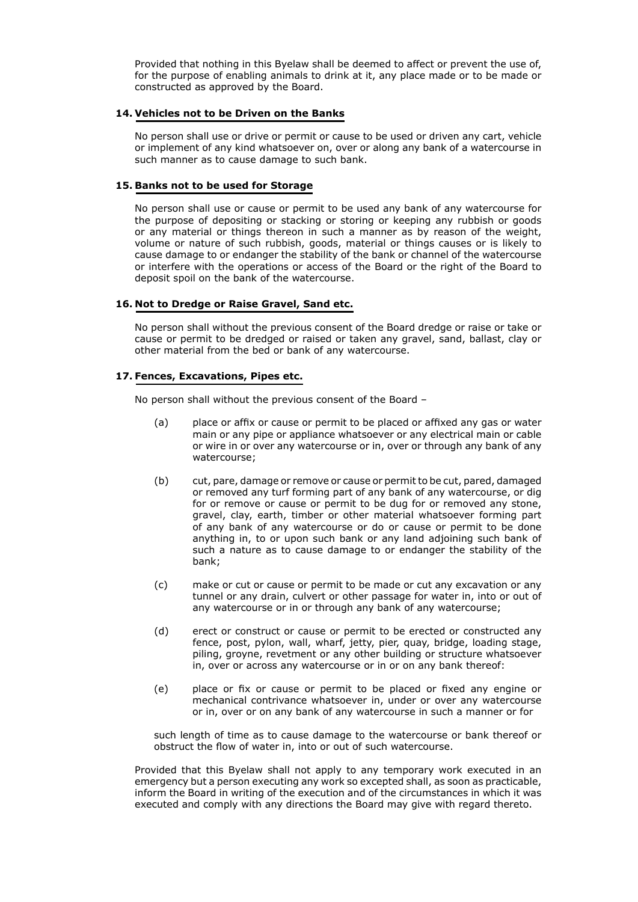Provided that nothing in this Byelaw shall be deemed to affect or prevent the use of, for the purpose of enabling animals to drink at it, any place made or to be made or constructed as approved by the Board.

#### **14. Vehicles not to be Driven on the Banks**

No person shall use or drive or permit or cause to be used or driven any cart, vehicle or implement of any kind whatsoever on, over or along any bank of a watercourse in such manner as to cause damage to such bank.

#### **15. Banks not to be used for Storage**

No person shall use or cause or permit to be used any bank of any watercourse for the purpose of depositing or stacking or storing or keeping any rubbish or goods or any material or things thereon in such a manner as by reason of the weight, volume or nature of such rubbish, goods, material or things causes or is likely to cause damage to or endanger the stability of the bank or channel of the watercourse or interfere with the operations or access of the Board or the right of the Board to deposit spoil on the bank of the watercourse.

## **16. Not to Dredge or Raise Gravel, Sand etc.**

No person shall without the previous consent of the Board dredge or raise or take or cause or permit to be dredged or raised or taken any gravel, sand, ballast, clay or other material from the bed or bank of any watercourse.

## **17. Fences, Excavations, Pipes etc.**

No person shall without the previous consent of the Board –

- (a) place or affix or cause or permit to be placed or affixed any gas or water main or any pipe or appliance whatsoever or any electrical main or cable or wire in or over any watercourse or in, over or through any bank of any watercourse;
- (b) cut, pare, damage or remove or cause or permit to be cut, pared, damaged or removed any turf forming part of any bank of any watercourse, or dig for or remove or cause or permit to be dug for or removed any stone, gravel, clay, earth, timber or other material whatsoever forming part of any bank of any watercourse or do or cause or permit to be done anything in, to or upon such bank or any land adjoining such bank of such a nature as to cause damage to or endanger the stability of the bank;
- (c) make or cut or cause or permit to be made or cut any excavation or any tunnel or any drain, culvert or other passage for water in, into or out of any watercourse or in or through any bank of any watercourse;
- (d) erect or construct or cause or permit to be erected or constructed any fence, post, pylon, wall, wharf, jetty, pier, quay, bridge, loading stage, piling, groyne, revetment or any other building or structure whatsoever in, over or across any watercourse or in or on any bank thereof:
- (e) place or fix or cause or permit to be placed or fixed any engine or mechanical contrivance whatsoever in, under or over any watercourse or in, over or on any bank of any watercourse in such a manner or for

such length of time as to cause damage to the watercourse or bank thereof or obstruct the flow of water in, into or out of such watercourse.

 Provided that this Byelaw shall not apply to any temporary work executed in an emergency but a person executing any work so excepted shall, as soon as practicable, inform the Board in writing of the execution and of the circumstances in which it was executed and comply with any directions the Board may give with regard thereto.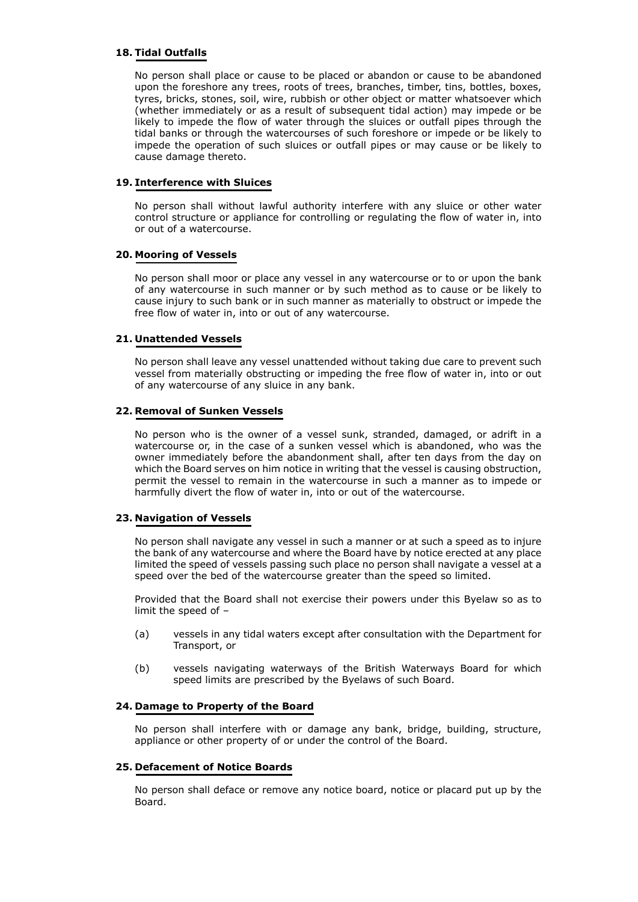## **18. Tidal Outfalls**

No person shall place or cause to be placed or abandon or cause to be abandoned upon the foreshore any trees, roots of trees, branches, timber, tins, bottles, boxes, tyres, bricks, stones, soil, wire, rubbish or other object or matter whatsoever which (whether immediately or as a result of subsequent tidal action) may impede or be likely to impede the flow of water through the sluices or outfall pipes through the tidal banks or through the watercourses of such foreshore or impede or be likely to impede the operation of such sluices or outfall pipes or may cause or be likely to cause damage thereto.

## **19. Interference with Sluices**

No person shall without lawful authority interfere with any sluice or other water control structure or appliance for controlling or regulating the flow of water in, into or out of a watercourse.

## **20. Mooring of Vessels**

No person shall moor or place any vessel in any watercourse or to or upon the bank of any watercourse in such manner or by such method as to cause or be likely to cause injury to such bank or in such manner as materially to obstruct or impede the free flow of water in, into or out of any watercourse.

## **21. Unattended Vessels**

No person shall leave any vessel unattended without taking due care to prevent such vessel from materially obstructing or impeding the free flow of water in, into or out of any watercourse of any sluice in any bank.

# **22. Removal of Sunken Vessels**

No person who is the owner of a vessel sunk, stranded, damaged, or adrift in a watercourse or, in the case of a sunken vessel which is abandoned, who was the owner immediately before the abandonment shall, after ten days from the day on which the Board serves on him notice in writing that the vessel is causing obstruction, permit the vessel to remain in the watercourse in such a manner as to impede or harmfully divert the flow of water in, into or out of the watercourse.

# **23. Navigation of Vessels**

No person shall navigate any vessel in such a manner or at such a speed as to injure the bank of any watercourse and where the Board have by notice erected at any place limited the speed of vessels passing such place no person shall navigate a vessel at a speed over the bed of the watercourse greater than the speed so limited.

Provided that the Board shall not exercise their powers under this Byelaw so as to limit the speed of –

- (a) vessels in any tidal waters except after consultation with the Department for Transport, or
- (b) vessels navigating waterways of the British Waterways Board for which speed limits are prescribed by the Byelaws of such Board.

## **24. Damage to Property of the Board**

No person shall interfere with or damage any bank, bridge, building, structure, appliance or other property of or under the control of the Board.

# **25. Defacement of Notice Boards**

No person shall deface or remove any notice board, notice or placard put up by the Board.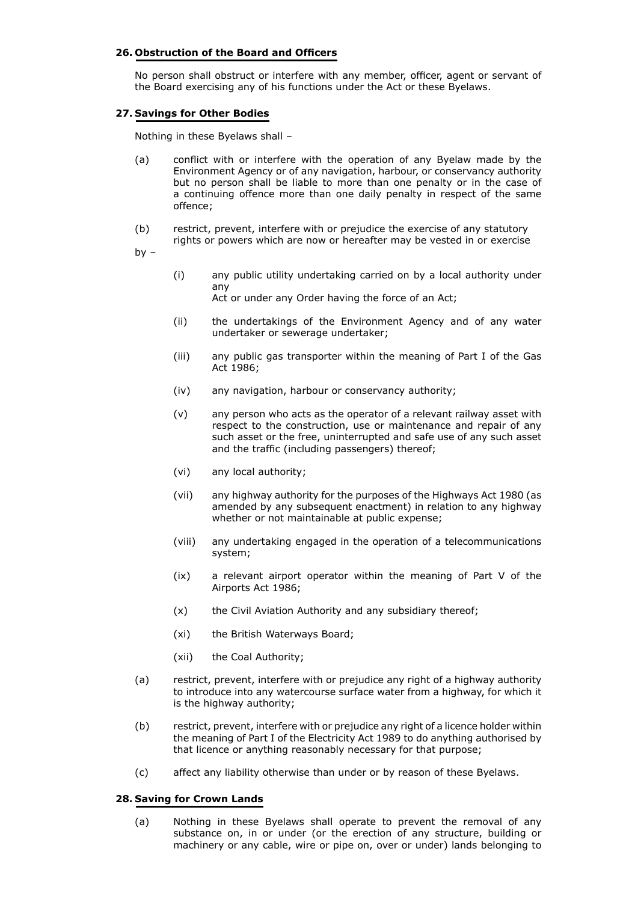## **26. Obstruction of the Board and Officers**

No person shall obstruct or interfere with any member, officer, agent or servant of the Board exercising any of his functions under the Act or these Byelaws.

#### **27. Savings for Other Bodies**

Nothing in these Byelaws shall –

- (a) conflict with or interfere with the operation of any Byelaw made by the Environment Agency or of any navigation, harbour, or conservancy authority but no person shall be liable to more than one penalty or in the case of a continuing offence more than one daily penalty in respect of the same offence;
- (b) restrict, prevent, interfere with or prejudice the exercise of any statutory rights or powers which are now or hereafter may be vested in or exercise

by  $-$ 

(i) any public utility undertaking carried on by a local authority under any

Act or under any Order having the force of an Act;

- (ii) the undertakings of the Environment Agency and of any water undertaker or sewerage undertaker;
- (iii) any public gas transporter within the meaning of Part I of the Gas Act 1986;
- (iv) any navigation, harbour or conservancy authority;
- (v) any person who acts as the operator of a relevant railway asset with respect to the construction, use or maintenance and repair of any such asset or the free, uninterrupted and safe use of any such asset and the traffic (including passengers) thereof;
- (vi) any local authority;
- (vii) any highway authority for the purposes of the Highways Act 1980 (as amended by any subsequent enactment) in relation to any highway whether or not maintainable at public expense;
- (viii) any undertaking engaged in the operation of a telecommunications system;
- (ix) a relevant airport operator within the meaning of Part V of the Airports Act 1986;
- (x) the Civil Aviation Authority and any subsidiary thereof;
- (xi) the British Waterways Board;
- (xii) the Coal Authority;
- (a) restrict, prevent, interfere with or prejudice any right of a highway authority to introduce into any watercourse surface water from a highway, for which it is the highway authority;
- (b) restrict, prevent, interfere with or prejudice any right of a licence holder within the meaning of Part I of the Electricity Act 1989 to do anything authorised by that licence or anything reasonably necessary for that purpose;
- (c) affect any liability otherwise than under or by reason of these Byelaws.

#### **28. Saving for Crown Lands**

(a) Nothing in these Byelaws shall operate to prevent the removal of any substance on, in or under (or the erection of any structure, building or machinery or any cable, wire or pipe on, over or under) lands belonging to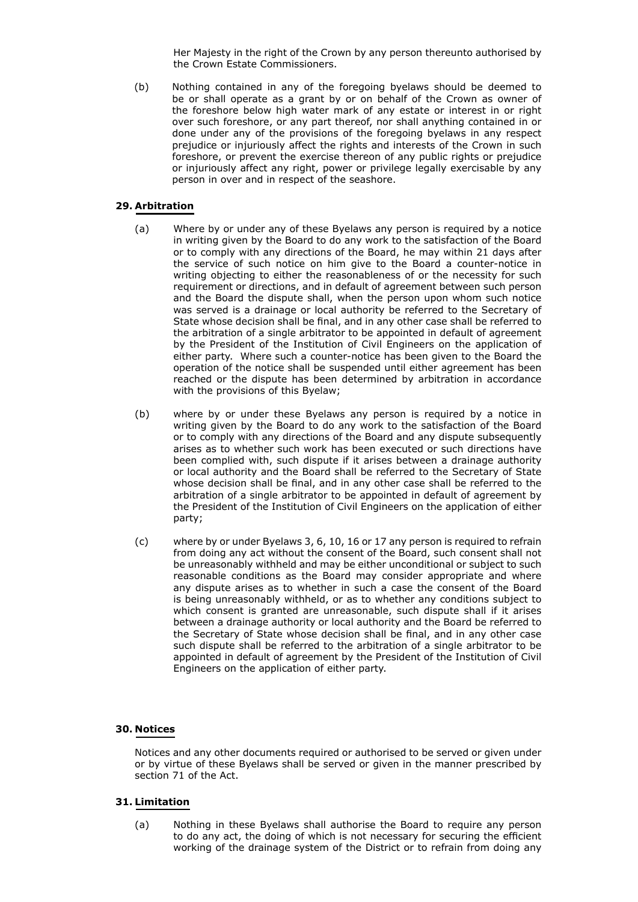Her Majesty in the right of the Crown by any person thereunto authorised by the Crown Estate Commissioners.

(b) Nothing contained in any of the foregoing byelaws should be deemed to be or shall operate as a grant by or on behalf of the Crown as owner of the foreshore below high water mark of any estate or interest in or right over such foreshore, or any part thereof, nor shall anything contained in or done under any of the provisions of the foregoing byelaws in any respect prejudice or injuriously affect the rights and interests of the Crown in such foreshore, or prevent the exercise thereon of any public rights or prejudice or injuriously affect any right, power or privilege legally exercisable by any person in over and in respect of the seashore.

# **29. Arbitration**

- (a) Where by or under any of these Byelaws any person is required by a notice in writing given by the Board to do any work to the satisfaction of the Board or to comply with any directions of the Board, he may within 21 days after the service of such notice on him give to the Board a counter-notice in writing objecting to either the reasonableness of or the necessity for such requirement or directions, and in default of agreement between such person and the Board the dispute shall, when the person upon whom such notice was served is a drainage or local authority be referred to the Secretary of State whose decision shall be final, and in any other case shall be referred to the arbitration of a single arbitrator to be appointed in default of agreement by the President of the Institution of Civil Engineers on the application of either party. Where such a counter-notice has been given to the Board the operation of the notice shall be suspended until either agreement has been reached or the dispute has been determined by arbitration in accordance with the provisions of this Byelaw;
- (b) where by or under these Byelaws any person is required by a notice in writing given by the Board to do any work to the satisfaction of the Board or to comply with any directions of the Board and any dispute subsequently arises as to whether such work has been executed or such directions have been complied with, such dispute if it arises between a drainage authority or local authority and the Board shall be referred to the Secretary of State whose decision shall be final, and in any other case shall be referred to the arbitration of a single arbitrator to be appointed in default of agreement by the President of the Institution of Civil Engineers on the application of either party;
- (c) where by or under Byelaws 3, 6, 10, 16 or 17 any person is required to refrain from doing any act without the consent of the Board, such consent shall not be unreasonably withheld and may be either unconditional or subject to such reasonable conditions as the Board may consider appropriate and where any dispute arises as to whether in such a case the consent of the Board is being unreasonably withheld, or as to whether any conditions subject to which consent is granted are unreasonable, such dispute shall if it arises between a drainage authority or local authority and the Board be referred to the Secretary of State whose decision shall be final, and in any other case such dispute shall be referred to the arbitration of a single arbitrator to be appointed in default of agreement by the President of the Institution of Civil Engineers on the application of either party.

## **30. Notices**

Notices and any other documents required or authorised to be served or given under or by virtue of these Byelaws shall be served or given in the manner prescribed by section 71 of the Act.

#### **31. Limitation**

(a) Nothing in these Byelaws shall authorise the Board to require any person to do any act, the doing of which is not necessary for securing the efficient working of the drainage system of the District or to refrain from doing any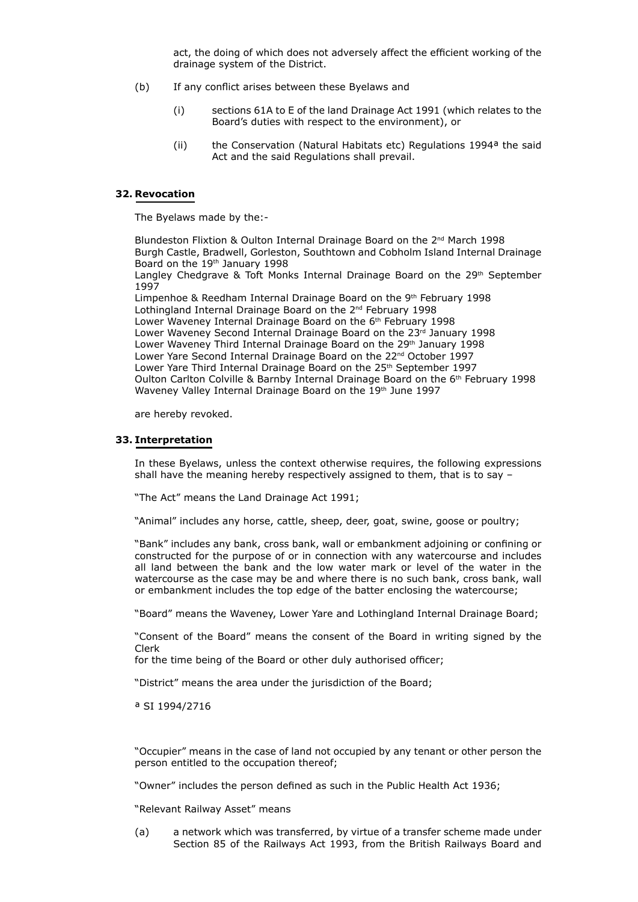act, the doing of which does not adversely affect the efficient working of the drainage system of the District.

- (b) If any conflict arises between these Byelaws and
	- (i) sections 61A to E of the land Drainage Act 1991 (which relates to the Board's duties with respect to the environment), or
	- (ii) the Conservation (Natural Habitats etc) Regulations 1994ª the said Act and the said Regulations shall prevail.

#### **32. Revocation**

The Byelaws made by the:-

Blundeston Flixtion & Oulton Internal Drainage Board on the 2<sup>nd</sup> March 1998 Burgh Castle, Bradwell, Gorleston, Southtown and Cobholm Island Internal Drainage Board on the 19<sup>th</sup> January 1998 Langley Chedgrave & Toft Monks Internal Drainage Board on the 29th September 1997 Limpenhoe & Reedham Internal Drainage Board on the 9th February 1998 Lothingland Internal Drainage Board on the 2nd February 1998 Lower Waveney Internal Drainage Board on the 6<sup>th</sup> February 1998 Lower Waveney Second Internal Drainage Board on the 23rd January 1998 Lower Waveney Third Internal Drainage Board on the 29<sup>th</sup> January 1998 Lower Yare Second Internal Drainage Board on the 22<sup>nd</sup> October 1997 Lower Yare Third Internal Drainage Board on the 25<sup>th</sup> September 1997 Oulton Carlton Colville & Barnby Internal Drainage Board on the 6th February 1998 Waveney Valley Internal Drainage Board on the 19<sup>th</sup> June 1997

are hereby revoked.

#### **33. Interpretation**

In these Byelaws, unless the context otherwise requires, the following expressions shall have the meaning hereby respectively assigned to them, that is to say –

"The Act" means the Land Drainage Act 1991;

"Animal" includes any horse, cattle, sheep, deer, goat, swine, goose or poultry;

"Bank" includes any bank, cross bank, wall or embankment adjoining or confining or constructed for the purpose of or in connection with any watercourse and includes all land between the bank and the low water mark or level of the water in the watercourse as the case may be and where there is no such bank, cross bank, wall or embankment includes the top edge of the batter enclosing the watercourse;

"Board" means the Waveney, Lower Yare and Lothingland Internal Drainage Board;

"Consent of the Board" means the consent of the Board in writing signed by the Clerk

for the time being of the Board or other duly authorised officer;

"District" means the area under the jurisdiction of the Board;

ª SI 1994/2716

"Occupier" means in the case of land not occupied by any tenant or other person the person entitled to the occupation thereof;

"Owner" includes the person defined as such in the Public Health Act 1936;

"Relevant Railway Asset" means

(a) a network which was transferred, by virtue of a transfer scheme made under Section 85 of the Railways Act 1993, from the British Railways Board and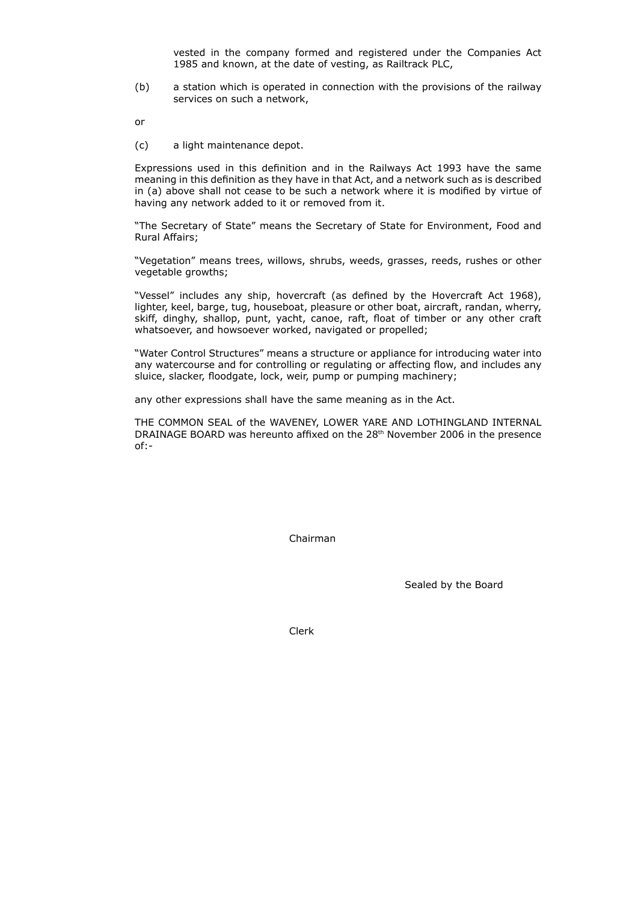vested in the company formed and registered under the Companies Act 1985 and known, at the date of vesting, as Railtrack PLC,

(b) a station which is operated in connection with the provisions of the railway services on such a network,

or

(c) a light maintenance depot.

Expressions used in this definition and in the Railways Act 1993 have the same meaning in this definition as they have in that Act, and a network such as is described in (a) above shall not cease to be such a network where it is modified by virtue of having any network added to it or removed from it.

"The Secretary of State" means the Secretary of State for Environment, Food and Rural Affairs;

"Vegetation" means trees, willows, shrubs, weeds, grasses, reeds, rushes or other vegetable growths;

"Vessel" includes any ship, hovercraft (as defined by the Hovercraft Act 1968), lighter, keel, barge, tug, houseboat, pleasure or other boat, aircraft, randan, wherry, skiff, dinghy, shallop, punt, yacht, canoe, raft, float of timber or any other craft whatsoever, and howsoever worked, navigated or propelled;

"Water Control Structures" means a structure or appliance for introducing water into any watercourse and for controlling or regulating or affecting flow, and includes any sluice, slacker, floodgate, lock, weir, pump or pumping machinery;

any other expressions shall have the same meaning as in the Act.

THE COMMON SEAL of the WAVENEY, LOWER YARE AND LOTHINGLAND INTERNAL DRAINAGE BOARD was hereunto affixed on the 28th November 2006 in the presence of:-

Chairman

Sealed by the Board

Clerk